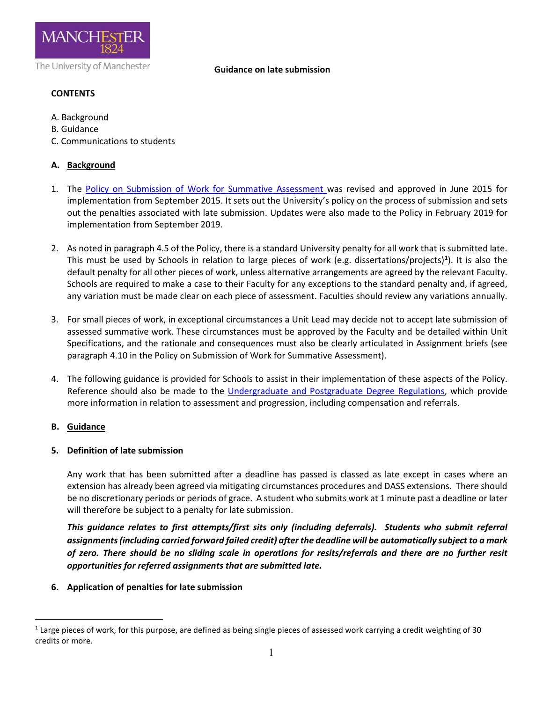

#### **Guidance on late submission**

# **CONTENTS**

- A. Background
- B. Guidance
- C. Communications to students

# **A. Background**

- 1. The [Policy on Submission of Work for Summative Assessment w](http://documents.manchester.ac.uk/display.aspx?DocID=24561)as revised and approved in June 2015 for implementation from September 2015. It sets out the University's policy on the process of submission and sets out the penalties associated with late submission. Updates were also made to the Policy in February 2019 for implementation from September 2019.
- 2. As noted in paragraph 4.5 of the Policy, there is a standard University penalty for all work that is submitted late. This must be used by Schools in relation to large pieces of work (e.g. dissertations/projects)**[1](#page-0-0)** ). It is also the default penalty for all other pieces of work, unless alternative arrangements are agreed by the relevant Faculty. Schools are required to make a case to their Faculty for any exceptions to the standard penalty and, if agreed, any variation must be made clear on each piece of assessment. Faculties should review any variations annually.
- 3. For small pieces of work, in exceptional circumstances a Unit Lead may decide not to accept late submission of assessed summative work. These circumstances must be approved by the Faculty and be detailed within Unit Specifications, and the rationale and consequences must also be clearly articulated in Assignment briefs (see paragraph 4.10 in the Policy on Submission of Work for Summative Assessment).
- 4. The following guidance is provided for Schools to assist in their implementation of these aspects of the Policy. Reference should also be made to the [Undergraduate and Postgraduate Degree Regulations,](http://www.staffnet.manchester.ac.uk/tlso/policy-guidance/degree-regulations/) which provide more information in relation to assessment and progression, including compensation and referrals.

### **B. Guidance**

<u>.</u>

### **5. Definition of late submission**

Any work that has been submitted after a deadline has passed is classed as late except in cases where an extension has already been agreed via mitigating circumstances procedures and DASS extensions. There should be no discretionary periods or periods of grace. A student who submits work at 1 minute past a deadline or later will therefore be subject to a penalty for late submission.

*This guidance relates to first attempts/first sits only (including deferrals). Students who submit referral assignments(including carried forward failed credit) after the deadline will be automatically subject to a mark of zero. There should be no sliding scale in operations for resits/referrals and there are no further resit opportunities for referred assignments that are submitted late.*

# **6. Application of penalties for late submission**

<span id="page-0-0"></span><sup>1</sup> Large pieces of work, for this purpose, are defined as being single pieces of assessed work carrying a credit weighting of 30 credits or more.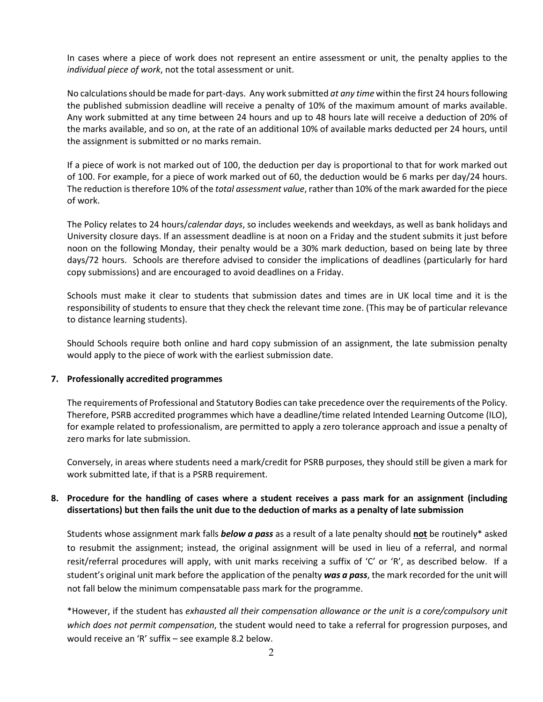In cases where a piece of work does not represent an entire assessment or unit, the penalty applies to the *individual piece of work*, not the total assessment or unit.

No calculations should be made for part-days. Any work submitted *at any time* within the first 24 hours following the published submission deadline will receive a penalty of 10% of the maximum amount of marks available. Any work submitted at any time between 24 hours and up to 48 hours late will receive a deduction of 20% of the marks available, and so on, at the rate of an additional 10% of available marks deducted per 24 hours, until the assignment is submitted or no marks remain.

If a piece of work is not marked out of 100, the deduction per day is proportional to that for work marked out of 100. For example, for a piece of work marked out of 60, the deduction would be 6 marks per day/24 hours. The reduction is therefore 10% of the *total assessment value*, rather than 10% of the mark awarded for the piece of work.

The Policy relates to 24 hours/*calendar days*, so includes weekends and weekdays, as well as bank holidays and University closure days. If an assessment deadline is at noon on a Friday and the student submits it just before noon on the following Monday, their penalty would be a 30% mark deduction, based on being late by three days/72 hours. Schools are therefore advised to consider the implications of deadlines (particularly for hard copy submissions) and are encouraged to avoid deadlines on a Friday.

Schools must make it clear to students that submission dates and times are in UK local time and it is the responsibility of students to ensure that they check the relevant time zone. (This may be of particular relevance to distance learning students).

Should Schools require both online and hard copy submission of an assignment, the late submission penalty would apply to the piece of work with the earliest submission date.

#### **7. Professionally accredited programmes**

The requirements of Professional and Statutory Bodies can take precedence over the requirements of the Policy. Therefore, PSRB accredited programmes which have a deadline/time related Intended Learning Outcome (ILO), for example related to professionalism, are permitted to apply a zero tolerance approach and issue a penalty of zero marks for late submission.

Conversely, in areas where students need a mark/credit for PSRB purposes, they should still be given a mark for work submitted late, if that is a PSRB requirement.

## **8. Procedure for the handling of cases where a student receives a pass mark for an assignment (including dissertations) but then fails the unit due to the deduction of marks as a penalty of late submission**

Students whose assignment mark falls *below a pass* as a result of a late penalty should **not** be routinely\* asked to resubmit the assignment; instead, the original assignment will be used in lieu of a referral, and normal resit/referral procedures will apply, with unit marks receiving a suffix of 'C' or 'R', as described below. If a student's original unit mark before the application of the penalty *was a pass*, the mark recorded for the unit will not fall below the minimum compensatable pass mark for the programme.

\*However, if the student has *exhausted all their compensation allowance or the unit is a core/compulsory unit which does not permit compensation*, the student would need to take a referral for progression purposes, and would receive an 'R' suffix – see example 8.2 below.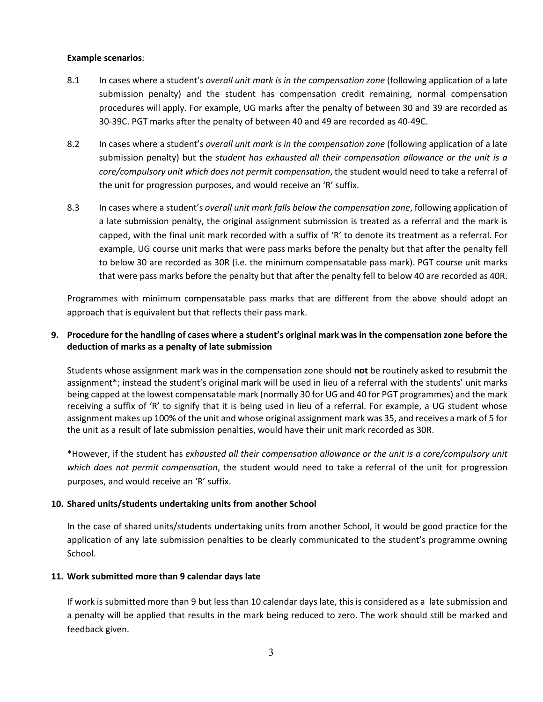#### **Example scenarios**:

- 8.1 In cases where a student's *overall unit mark is in the compensation zone* (following application of a late submission penalty) and the student has compensation credit remaining, normal compensation procedures will apply. For example, UG marks after the penalty of between 30 and 39 are recorded as 30-39C. PGT marks after the penalty of between 40 and 49 are recorded as 40-49C.
- 8.2 In cases where a student's *overall unit mark is in the compensation zone* (following application of a late submission penalty) but the *student has exhausted all their compensation allowance or the unit is a core/compulsory unit which does not permit compensation*, the student would need to take a referral of the unit for progression purposes, and would receive an 'R' suffix.
- 8.3 In cases where a student's *overall unit mark falls below the compensation zone*, following application of a late submission penalty, the original assignment submission is treated as a referral and the mark is capped, with the final unit mark recorded with a suffix of 'R' to denote its treatment as a referral. For example, UG course unit marks that were pass marks before the penalty but that after the penalty fell to below 30 are recorded as 30R (i.e. the minimum compensatable pass mark). PGT course unit marks that were pass marks before the penalty but that after the penalty fell to below 40 are recorded as 40R.

Programmes with minimum compensatable pass marks that are different from the above should adopt an approach that is equivalent but that reflects their pass mark.

## **9. Procedure for the handling of cases where a student's original mark was in the compensation zone before the deduction of marks as a penalty of late submission**

Students whose assignment mark was in the compensation zone should **not** be routinely asked to resubmit the assignment\*; instead the student's original mark will be used in lieu of a referral with the students' unit marks being capped at the lowest compensatable mark (normally 30 for UG and 40 for PGT programmes) and the mark receiving a suffix of 'R' to signify that it is being used in lieu of a referral. For example, a UG student whose assignment makes up 100% of the unit and whose original assignment mark was 35, and receives a mark of 5 for the unit as a result of late submission penalties, would have their unit mark recorded as 30R.

\*However, if the student has *exhausted all their compensation allowance or the unit is a core/compulsory unit which does not permit compensation*, the student would need to take a referral of the unit for progression purposes, and would receive an 'R' suffix.

### **10. Shared units/students undertaking units from another School**

In the case of shared units/students undertaking units from another School, it would be good practice for the application of any late submission penalties to be clearly communicated to the student's programme owning School.

#### **11. Work submitted more than 9 calendar days late**

If work is submitted more than 9 but less than 10 calendar days late, this is considered as a late submission and a penalty will be applied that results in the mark being reduced to zero. The work should still be marked and feedback given.